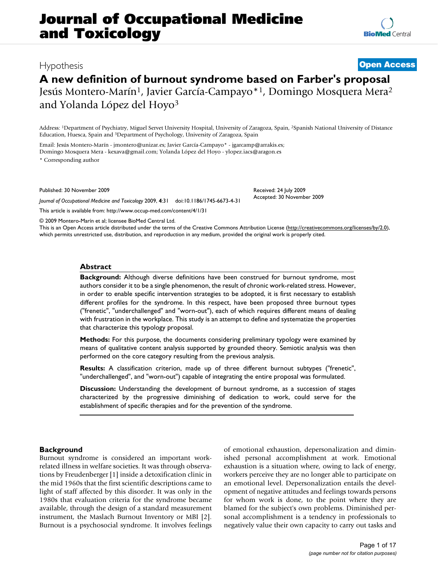# **Journal of Occupational Medicine and Toxicology**

# **A new definition of burnout syndrome based on Farber's proposal**

Jesús Montero-Marín<sup>1</sup>, Javier García-Campayo<sup>\*1</sup>, Domingo Mosquera Mera<sup>2</sup> and Yolanda López del Hoyo3

Address: 1Department of Psychiatry, Miguel Servet University Hospital, University of Zaragoza, Spain, 2Spanish National University of Distance Education, Huesca, Spain and 3Department of Psychology, University of Zaragoza, Spain

Email: Jesús Montero-Marín - jmontero@unizar.es; Javier García-Campayo\* - jgarcamp@arrakis.es; Domingo Mosquera Mera - kexava@gmail.com; Yolanda López del Hoyo - ylopez.iacs@aragon.es \* Corresponding author

Published: 30 November 2009

*Journal of Occupational Medicine and Toxicology* 2009, **4**:31 doi:10.1186/1745-6673-4-31

[This article is available from: http://www.occup-med.com/content/4/1/31](http://www.occup-med.com/content/4/1/31)

© 2009 Montero-Marín et al; licensee BioMed Central Ltd.

This is an Open Access article distributed under the terms of the Creative Commons Attribution License [\(http://creativecommons.org/licenses/by/2.0\)](http://creativecommons.org/licenses/by/2.0), which permits unrestricted use, distribution, and reproduction in any medium, provided the original work is properly cited.

#### **Abstract**

**Background:** Although diverse definitions have been construed for burnout syndrome, most authors consider it to be a single phenomenon, the result of chronic work-related stress. However, in order to enable specific intervention strategies to be adopted, it is first necessary to establish different profiles for the syndrome. In this respect, have been proposed three burnout types ("frenetic", "underchallenged" and "worn-out"), each of which requires different means of dealing with frustration in the workplace. This study is an attempt to define and systematize the properties that characterize this typology proposal.

**Methods:** For this purpose, the documents considering preliminary typology were examined by means of qualitative content analysis supported by grounded theory. Semiotic analysis was then performed on the core category resulting from the previous analysis.

**Results:** A classification criterion, made up of three different burnout subtypes ("frenetic", "underchallenged", and "worn-out") capable of integrating the entire proposal was formulated.

**Discussion:** Understanding the development of burnout syndrome, as a succession of stages characterized by the progressive diminishing of dedication to work, could serve for the establishment of specific therapies and for the prevention of the syndrome.

# **Background**

Burnout syndrome is considered an important workrelated illness in welfare societies. It was through observations by Freudenberger [[1](#page-15-0)] inside a detoxification clinic in the mid 1960s that the first scientific descriptions came to light of staff affected by this disorder. It was only in the 1980s that evaluation criteria for the syndrome became available, through the design of a standard measurement instrument, the Maslach Burnout Inventory or MBI [[2](#page-15-1)]. Burnout is a psychosocial syndrome. It involves feelings of emotional exhaustion, depersonalization and diminished personal accomplishment at work. Emotional exhaustion is a situation where, owing to lack of energy, workers perceive they are no longer able to participate on an emotional level. Depersonalization entails the development of negative attitudes and feelings towards persons for whom work is done, to the point where they are blamed for the subject's own problems. Diminished personal accomplishment is a tendency in professionals to negatively value their own capacity to carry out tasks and



Received: 24 July 2009 Accepted: 30 November 2009

Hypothesis **[Open Access](http://www.biomedcentral.com/info/about/charter/)**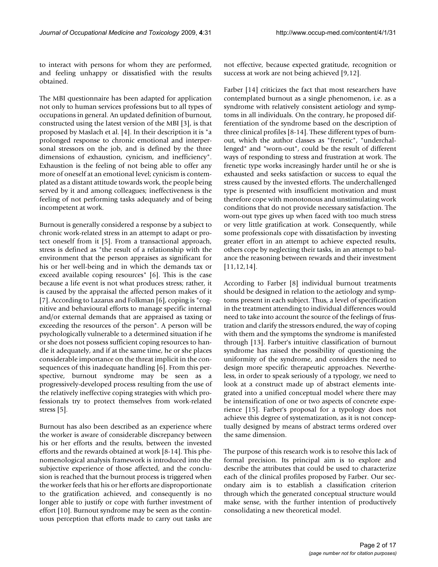to interact with persons for whom they are performed, and feeling unhappy or dissatisfied with the results obtained.

The MBI questionnaire has been adapted for application not only to human services professions but to all types of occupations in general. An updated definition of burnout, constructed using the latest version of the MBI [\[3\]](#page-15-2), is that proposed by Maslach et al. [[4](#page-15-3)]. In their description it is "a prolonged response to chronic emotional and interpersonal stressors on the job, and is defined by the three dimensions of exhaustion, cynicism, and inefficiency". Exhaustion is the feeling of not being able to offer any more of oneself at an emotional level; cynicism is contemplated as a distant attitude towards work, the people being served by it and among colleagues; ineffectiveness is the feeling of not performing tasks adequately and of being incompetent at work.

Burnout is generally considered a response by a subject to chronic work-related stress in an attempt to adapt or protect oneself from it [[5](#page-15-4)]. From a transactional approach, stress is defined as "the result of a relationship with the environment that the person appraises as significant for his or her well-being and in which the demands tax or exceed available coping resources" [[6](#page-15-5)]. This is the case because a life event is not what produces stress; rather, it is caused by the appraisal the affected person makes of it [[7\]](#page-15-6). According to Lazarus and Folkman [[6](#page-15-5)], coping is "cognitive and behavioural efforts to manage specific internal and/or external demands that are appraised as taxing or exceeding the resources of the person". A person will be psychologically vulnerable to a determined situation if he or she does not possess sufficient coping resources to handle it adequately, and if at the same time, he or she places considerable importance on the threat implicit in the consequences of this inadequate handling [\[6\]](#page-15-5). From this perspective, burnout syndrome may be seen as a progressively-developed process resulting from the use of the relatively ineffective coping strategies with which professionals try to protect themselves from work-related stress [\[5\]](#page-15-4).

Burnout has also been described as an experience where the worker is aware of considerable discrepancy between his or her efforts and the results, between the invested efforts and the rewards obtained at work [[8](#page-15-7)[-14](#page-15-8)]. This phenomenological analysis framework is introduced into the subjective experience of those affected, and the conclusion is reached that the burnout process is triggered when the worker feels that his or her efforts are disproportionate to the gratification achieved, and consequently is no longer able to justify or cope with further investment of effort [[10\]](#page-15-9). Burnout syndrome may be seen as the continuous perception that efforts made to carry out tasks are not effective, because expected gratitude, recognition or success at work are not being achieved [\[9,](#page-15-10)[12\]](#page-15-11).

Farber [[14](#page-15-8)] criticizes the fact that most researchers have contemplated burnout as a single phenomenon, i.e. as a syndrome with relatively consistent aetiology and symptoms in all individuals. On the contrary, he proposed differentiation of the syndrome based on the description of three clinical profiles [[8](#page-15-7)[-14\]](#page-15-8). These different types of burnout, which the author classes as "frenetic", "underchallenged" and "worn-out", could be the result of different ways of responding to stress and frustration at work. The frenetic type works increasingly harder until he or she is exhausted and seeks satisfaction or success to equal the stress caused by the invested efforts. The underchallenged type is presented with insufficient motivation and must therefore cope with monotonous and unstimulating work conditions that do not provide necessary satisfaction. The worn-out type gives up when faced with too much stress or very little gratification at work. Consequently, while some professionals cope with dissatisfaction by investing greater effort in an attempt to achieve expected results, others cope by neglecting their tasks, in an attempt to balance the reasoning between rewards and their investment [[11](#page-15-12),[12,](#page-15-11)[14](#page-15-8)].

According to Farber [\[8\]](#page-15-7) individual burnout treatments should be designed in relation to the aetiology and symptoms present in each subject. Thus, a level of specification in the treatment attending to individual differences would need to take into account the source of the feelings of frustration and clarify the stressors endured, the way of coping with them and the symptoms the syndrome is manifested through [\[13\]](#page-15-13). Farber's intuitive classification of burnout syndrome has raised the possibility of questioning the uniformity of the syndrome, and considers the need to design more specific therapeutic approaches. Nevertheless, in order to speak seriously of a typology, we need to look at a construct made up of abstract elements integrated into a unified conceptual model where there may be intensification of one or two aspects of concrete experience [[15](#page-15-14)]. Farber's proposal for a typology does not achieve this degree of systematization, as it is not conceptually designed by means of abstract terms ordered over the same dimension.

The purpose of this research work is to resolve this lack of formal precision. Its principal aim is to explore and describe the attributes that could be used to characterize each of the clinical profiles proposed by Farber. Our secondary aim is to establish a classification criterion through which the generated conceptual structure would make sense, with the further intention of productively consolidating a new theoretical model.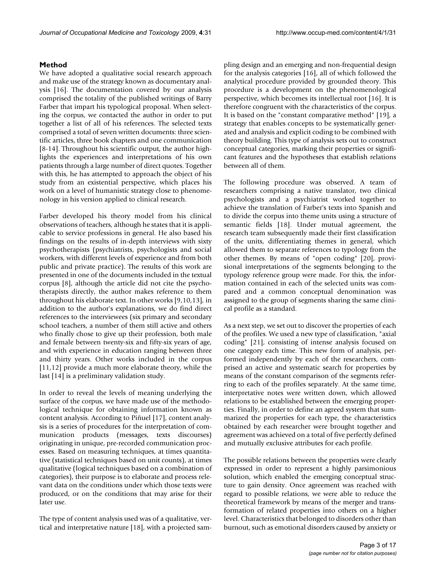# **Method**

We have adopted a qualitative social research approach and make use of the strategy known as documentary analysis [[16](#page-15-15)]. The documentation covered by our analysis comprised the totality of the published writings of Barry Farber that impart his typological proposal. When selecting the corpus, we contacted the author in order to put together a list of all of his references. The selected texts comprised a total of seven written documents: three scientific articles, three book chapters and one communication [[8-](#page-15-7)[14\]](#page-15-8). Throughout his scientific output, the author highlights the experiences and interpretations of his own patients through a large number of direct quotes. Together with this, he has attempted to approach the object of his study from an existential perspective, which places his work on a level of humanistic strategy close to phenomenology in his version applied to clinical research.

Farber developed his theory model from his clinical observations of teachers, although he states that it is applicable to service professions in general. He also based his findings on the results of in-depth interviews with sixty psychotherapists (psychiatrists, psychologists and social workers, with different levels of experience and from both public and private practice). The results of this work are presented in one of the documents included in the textual corpus [\[8\]](#page-15-7), although the article did not cite the psychotherapists directly, the author makes reference to them throughout his elaborate text. In other works [\[9,](#page-15-10)[10,](#page-15-9)[13](#page-15-13)], in addition to the author's explanations, we do find direct references to the interviewees (six primary and secondary school teachers, a number of them still active and others who finally chose to give up their profession, both male and female between twenty-six and fifty-six years of age, and with experience in education ranging between three and thirty years. Other works included in the corpus [[11](#page-15-12),[12\]](#page-15-11) provide a much more elaborate theory, while the last [\[14](#page-15-8)] is a preliminary validation study.

In order to reveal the levels of meaning underlying the surface of the corpus, we have made use of the methodological technique for obtaining information known as content analysis. According to Piñuel [[17\]](#page-15-16), content analysis is a series of procedures for the interpretation of communication products (messages, texts discourses) originating in unique, pre-recorded communication processes. Based on measuring techniques, at times quantitative (statistical techniques based on unit counts), at times qualitative (logical techniques based on a combination of categories), their purpose is to elaborate and process relevant data on the conditions under which those texts were produced, or on the conditions that may arise for their later use.

The type of content analysis used was of a qualitative, vertical and interpretative nature [[18\]](#page-15-17), with a projected sampling design and an emerging and non-frequential design for the analysis categories [[16](#page-15-15)], all of which followed the analytical procedure provided by grounded theory. This procedure is a development on the phenomenological perspective, which becomes its intellectual root [[16\]](#page-15-15). It is therefore congruent with the characteristics of the corpus. It is based on the "constant comparative method" [[19\]](#page-15-18), a strategy that enables concepts to be systematically generated and analysis and explicit coding to be combined with theory building. This type of analysis sets out to construct conceptual categories, marking their properties or significant features and the hypotheses that establish relations between all of them.

The following procedure was observed. A team of researchers comprising a native translator, two clinical psychologists and a psychiatrist worked together to achieve the translation of Farber's texts into Spanish and to divide the corpus into theme units using a structure of semantic fields [\[18](#page-15-17)]. Under mutual agreement, the research team subsequently made their first classification of the units, differentiating themes in general, which allowed them to separate references to typology from the other themes. By means of "open coding" [[20](#page-15-19)], provisional interpretations of the segments belonging to the typology reference group were made. For this, the information contained in each of the selected units was compared and a common conceptual denomination was assigned to the group of segments sharing the same clinical profile as a standard.

As a next step, we set out to discover the properties of each of the profiles. We used a new type of classification, "axial coding" [[21\]](#page-15-20), consisting of intense analysis focused on one category each time. This new form of analysis, performed independently by each of the researchers, comprised an active and systematic search for properties by means of the constant comparison of the segments referring to each of the profiles separately. At the same time, interpretative notes were written down, which allowed relations to be established between the emerging properties. Finally, in order to define an agreed system that summarized the properties for each type, the characteristics obtained by each researcher were brought together and agreement was achieved on a total of five perfectly defined and mutually exclusive attributes for each profile.

The possible relations between the properties were clearly expressed in order to represent a highly parsimonious solution, which enabled the emerging conceptual structure to gain density. Once agreement was reached with regard to possible relations, we were able to reduce the theoretical framework by means of the merger and transformation of related properties into others on a higher level. Characteristics that belonged to disorders other than burnout, such as emotional disorders caused by anxiety or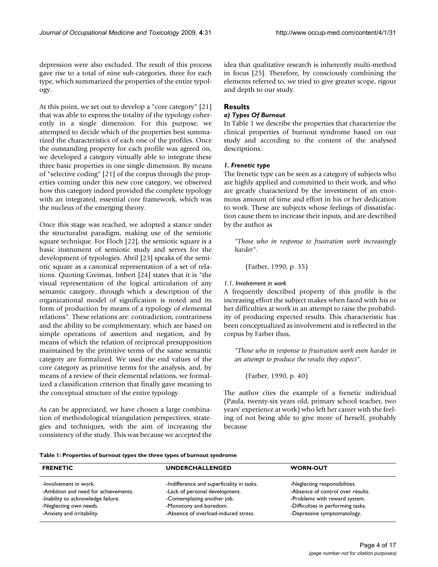depression were also excluded. The result of this process gave rise to a total of nine sub-categories, three for each type, which summarized the properties of the entire typology.

At this point, we set out to develop a "core category" [[21\]](#page-15-20) that was able to express the totality of the typology coherently in a single dimension. For this purpose, we attempted to decide which of the properties best summarized the characteristics of each one of the profiles. Once the outstanding property for each profile was agreed on, we developed a category virtually able to integrate these three basic properties in one single dimension. By means of "selective coding" [[21\]](#page-15-20) of the corpus through the properties coming under this new core category, we observed how this category indeed provided the complete typology with an integrated, essential core framework, which was the nucleus of the emerging theory.

Once this stage was reached, we adopted a stance under the structuralist paradigm, making use of the semiotic square technique. For Floch [\[22](#page-15-21)], the semiotic square is a basic instrument of semiotic study and serves for the development of typologies. Abril [\[23](#page-15-22)] speaks of the semiotic square as a canonical representation of a set of relations. Quoting Greimas, Imbert [\[24](#page-15-23)] states that it is "the visual representation of the logical articulation of any semantic category...through which a description of the organizational model of signification is noted and its form of production by means of a typology of elemental relations". These relations are: contradiction, contrariness and the ability to be complementary, which are based on simple operations of assertion and negation, and by means of which the relation of reciprocal presupposition maintained by the primitive terms of the same semantic category are formalized. We used the end values of the core category as primitive terms for the analysis, and, by means of a review of their elemental relations, we formalized a classification criterion that finally gave meaning to the conceptual structure of the entire typology.

As can be appreciated, we have chosen a large combination of methodological triangulation perspectives, strategies and techniques, with the aim of increasing the consistency of the study. This was because we accepted the idea that qualitative research is inherently multi-method in focus [[25](#page-15-24)]. Therefore, by consciously combining the elements referred to, we tried to give greater scope, rigour and depth to our study.

# **Results**

# *a) Types Of Burnout*

In Table [1](#page-3-0) we describe the properties that characterize the clinical properties of burnout syndrome based on our study and according to the content of the analysed descriptions.

# *1. Frenetic type*

The frenetic type can be seen as a category of subjects who are highly applied and committed to their work, and who are greatly characterized by the investment of an enormous amount of time and effort in his or her dedication to work. These are subjects whose feelings of dissatisfaction cause them to increase their inputs, and are described by the author as

*"Those who in response to frustration work increasingly harder"*.

(Farber, 1990, p. 35)

# *1.1. Involvement in work*

A frequently described property of this profile is the increasing effort the subject makes when faced with his or her difficulties at work in an attempt to raise the probability of producing expected results. This characteristic has been conceptualized as involvement and is reflected in the corpus by Farber thus,

*"Those who in response to frustration work even harder in an attempt to produce the results they expect"*.

(Farber, 1990, p. 40)

The author cites the example of a frenetic individual (Paula, twenty-six years old, primary school teacher, two years' experience at work) who left her career with the feeling of not being able to give more of herself, probably because

<span id="page-3-0"></span>**Table 1: Properties of burnout types the three types of burnout syndrome**

| <b>FRENETIC</b>                                                                                                               | <b>UNDERCHALLENGED</b>                                                                                                                | <b>WORN-OUT</b>                                                                                                                           |
|-------------------------------------------------------------------------------------------------------------------------------|---------------------------------------------------------------------------------------------------------------------------------------|-------------------------------------------------------------------------------------------------------------------------------------------|
| -Involvement in work.<br>-Ambition and need for achievements.<br>-Inability to acknowledge failure.<br>-Neglecting own needs. | -Indifference and superficiality in tasks.<br>-Lack of personal development.<br>-Contemplating another job.<br>-Monotony and boredom. | -Neglecting responsibilities.<br>-Absence of control over results.<br>-Problems with reward system.<br>-Difficulties in performing tasks. |
| -Anxiety and irritability.                                                                                                    | -Absence of overload-induced stress.                                                                                                  | -Depressive symptomatology.                                                                                                               |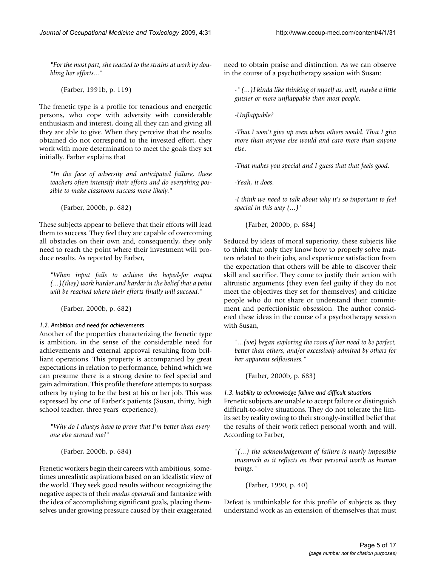*"For the most part, she reacted to the strains at work by doubling her efforts..."*

(Farber, 1991b, p. 119)

The frenetic type is a profile for tenacious and energetic persons, who cope with adversity with considerable enthusiasm and interest, doing all they can and giving all they are able to give. When they perceive that the results obtained do not correspond to the invested effort, they work with more determination to meet the goals they set initially. Farber explains that

*"In the face of adversity and anticipated failure, these teachers often intensify their efforts and do everything possible to make classroom success more likely."*

(Farber, 2000b, p. 682)

These subjects appear to believe that their efforts will lead them to success. They feel they are capable of overcoming all obstacles on their own and, consequently, they only need to reach the point where their investment will produce results. As reported by Farber,

*"When input fails to achieve the hoped-for output (...)(they) work harder and harder in the belief that a point will be reached where their efforts finally will succeed."*

(Farber, 2000b, p. 682)

#### *1.2. Ambition and need for achievements*

Another of the properties characterizing the frenetic type is ambition, in the sense of the considerable need for achievements and external approval resulting from brilliant operations. This property is accompanied by great expectations in relation to performance, behind which we can presume there is a strong desire to feel special and gain admiration. This profile therefore attempts to surpass others by trying to be the best at his or her job. This was expressed by one of Farber's patients (Susan, thirty, high school teacher, three years' experience),

*"Why do I always have to prove that I'm better than everyone else around me?"*

(Farber, 2000b, p. 684)

Frenetic workers begin their careers with ambitious, sometimes unrealistic aspirations based on an idealistic view of the world. They seek good results without recognizing the negative aspects of their *modus operandi* and fantasize with the idea of accomplishing significant goals, placing themselves under growing pressure caused by their exaggerated need to obtain praise and distinction. As we can observe in the course of a psychotherapy session with Susan:

-*" (...)I kinda like thinking of myself as, well, maybe a little gutsier or more unflappable than most people*.

-*Unflappable?*

-*That I won't give up even when others would. That I give more than anyone else would and care more than anyone else*.

-*That makes you special and I guess that that feels good*.

-*Yeah, it does*.

-*I think we need to talk about why it's so important to feel special in this way (...)"*

(Farber, 2000b, p. 684)

Seduced by ideas of moral superiority, these subjects like to think that only they know how to properly solve matters related to their jobs, and experience satisfaction from the expectation that others will be able to discover their skill and sacrifice. They come to justify their action with altruistic arguments (they even feel guilty if they do not meet the objectives they set for themselves) and criticize people who do not share or understand their commitment and perfectionistic obsession. The author considered these ideas in the course of a psychotherapy session with Susan,

*"...(we) began exploring the roots of her need to be perfect, better than others, and/or excessively admired by others for her apparent selflessness."*

(Farber, 2000b, p. 683)

*1.3. Inability to acknowledge failure and difficult situations* Frenetic subjects are unable to accept failure or distinguish difficult-to-solve situations. They do not tolerate the limits set by reality owing to their strongly-instilled belief that the results of their work reflect personal worth and will. According to Farber,

*"(...) the acknowledgement of failure is nearly impossible inasmuch as it reflects on their personal worth as human beings."*

(Farber, 1990, p. 40)

Defeat is unthinkable for this profile of subjects as they understand work as an extension of themselves that must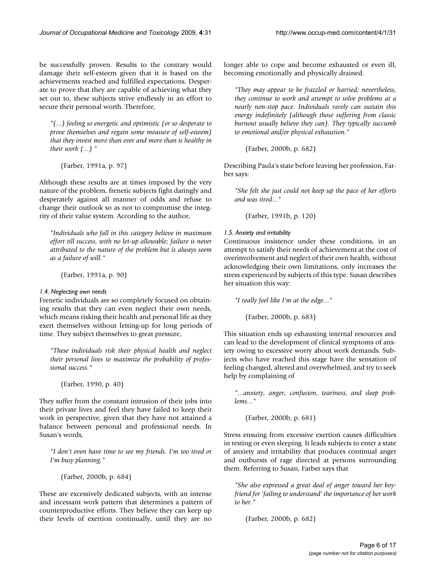be successfully proven. Results to the contrary would damage their self-esteem given that it is based on the achievements reached and fulfilled expectations. Desperate to prove that they are capable of achieving what they set out to, these subjects strive endlessly in an effort to secure their personal worth. Therefore,

*"(...) feeling so energetic and optimistic (or so desperate to prove themselves and regain some measure of self-esteem) that they invest more than ever and more than is healthy in their work (...) "*

(Farber, 1991a, p. 97)

Although these results are at times imposed by the very nature of the problem, frenetic subjects fight daringly and desperately against all manner of odds and refuse to change their outlook so as not to compromise the integrity of their value system. According to the author,

*"Individuals who fall in this category believe in maximum effort till success, with no let-up allowable; failure is never attributed to the nature of the problem but is always seem as a failure of will."*

(Farber, 1991a, p. 90)

# *1.4. Neglecting own needs*

Frenetic individuals are so completely focused on obtaining results that they can even neglect their own needs, which means risking their health and personal life as they exert themselves without letting-up for long periods of time. They subject themselves to great pressure,

*"These individuals risk their physical health and neglect their personal lives to maximize the probability of professional success."*

(Farber, 1990, p. 40)

They suffer from the constant intrusion of their jobs into their private lives and feel they have failed to keep their work in perspective, given that they have not attained a balance between personal and professional needs. In Susan's words,

*"I don't even have time to see my friends. I'm too tired or I'm busy planning."*

(Farber, 2000b, p. 684)

These are excessively dedicated subjects, with an intense and incessant work pattern that determines a pattern of counterproductive efforts. They believe they can keep up their levels of exertion continually, until they are no longer able to cope and become exhausted or even ill, becoming emotionally and physically drained.

*"They may appear to be frazzled or harried; nevertheless, they continue to work and attempt to solve problems at a nearly non-stop pace. Individuals rarely can sustain this energy indefinitely (although those suffering from classic burnout usually believe they can). They typically succumb to emotional and/or physical exhaustion."*

(Farber, 2000b, p. 682)

Describing Paula's state before leaving her profession, Farber says:

*"She felt she just could not keep up the pace of her efforts and was tired..."*

(Farber, 1991b, p. 120)

# *1.5. Anxiety and irritability*

Continuous insistence under these conditions, in an attempt to satisfy their needs of achievement at the cost of overinvolvement and neglect of their own health, without acknowledging their own limitations, only increases the stress experienced by subjects of this type. Susan describes her situation this way:

*"I really feel like I'm at the edge..."*

(Farber, 2000b, p. 683)

This situation ends up exhausting internal resources and can lead to the development of clinical symptoms of anxiety owing to excessive worry about work demands. Subjects who have reached this stage have the sensation of feeling changed, altered and overwhelmed, and try to seek help by complaining of

*"...anxiety, anger, confusion, teariness, and sleep problems..."*

(Farber, 2000b, p. 681)

Stress ensuing from excessive exertion causes difficulties in resting or even sleeping. It leads subjects to enter a state of anxiety and irritability that produces continual anger and outbursts of rage directed at persons surrounding them. Referring to Susan, Farber says that

*"She also expressed a great deal of anger toward her boyfriend for 'failing to understand' the importance of her work to her."*

(Farber, 2000b, p. 682)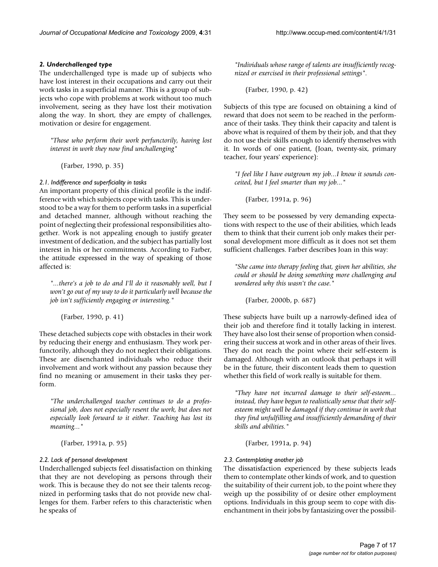#### *2. Underchallenged type*

The underchallenged type is made up of subjects who have lost interest in their occupations and carry out their work tasks in a superficial manner. This is a group of subjects who cope with problems at work without too much involvement, seeing as they have lost their motivation along the way. In short, they are empty of challenges, motivation or desire for engagement.

*"Those who perform their work perfunctorily, having lost interest in work they now find unchallenging"*

(Farber, 1990, p. 35)

#### *2.1. Indifference and superficiality in tasks*

An important property of this clinical profile is the indifference with which subjects cope with tasks. This is understood to be a way for them to perform tasks in a superficial and detached manner, although without reaching the point of neglecting their professional responsibilities altogether. Work is not appealing enough to justify greater investment of dedication, and the subject has partially lost interest in his or her commitments. According to Farber, the attitude expressed in the way of speaking of those affected is:

*"...there's a job to do and I'll do it reasonably well, but I won't go out of my way to do it particularly well because the job isn't sufficiently engaging or interesting."*

(Farber, 1990, p. 41)

These detached subjects cope with obstacles in their work by reducing their energy and enthusiasm. They work perfunctorily, although they do not neglect their obligations. These are disenchanted individuals who reduce their involvement and work without any passion because they find no meaning or amusement in their tasks they perform.

*"The underchallenged teacher continues to do a professional job, does not especially resent the work, but does not especially look forward to it either. Teaching has lost its meaning..."*

(Farber, 1991a, p. 95)

#### *2.2. Lack of personal development*

Underchallenged subjects feel dissatisfaction on thinking that they are not developing as persons through their work. This is because they do not see their talents recognized in performing tasks that do not provide new challenges for them. Farber refers to this characteristic when he speaks of

*"Individuals whose range of talents are insufficiently recognized or exercised in their professional settings"*.

(Farber, 1990, p. 42)

Subjects of this type are focused on obtaining a kind of reward that does not seem to be reached in the performance of their tasks. They think their capacity and talent is above what is required of them by their job, and that they do not use their skills enough to identify themselves with it. In words of one patient, (Joan, twenty-six, primary teacher, four years' experience):

*"I feel like I have outgrown my job...I know it sounds conceited, but I feel smarter than my job..."*

(Farber, 1991a, p. 96)

They seem to be possessed by very demanding expectations with respect to the use of their abilities, which leads them to think that their current job only makes their personal development more difficult as it does not set them sufficient challenges. Farber describes Joan in this way:

*"She came into therapy feeling that, given her abilities, she could or should be doing something more challenging and wondered why this wasn't the case."*

(Farber, 2000b, p. 687)

These subjects have built up a narrowly-defined idea of their job and therefore find it totally lacking in interest. They have also lost their sense of proportion when considering their success at work and in other areas of their lives. They do not reach the point where their self-esteem is damaged. Although with an outlook that perhaps it will be in the future, their discontent leads them to question whether this field of work really is suitable for them.

*"They have not incurred damage to their self-esteem... instead, they have begun to realistically sense that their selfesteem might well be damaged if they continue in work that they find unfulfilling and insufficiently demanding of their skills and abilities."*

(Farber, 1991a, p. 94)

#### *2.3. Contemplating another job*

The dissatisfaction experienced by these subjects leads them to contemplate other kinds of work, and to question the suitability of their current job, to the point where they weigh up the possibility of or desire other employment options. Individuals in this group seem to cope with disenchantment in their jobs by fantasizing over the possibil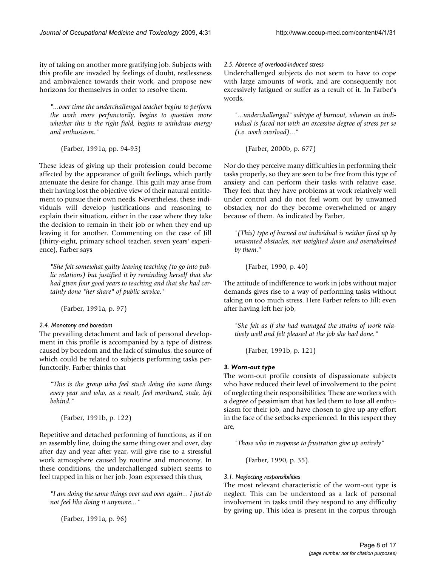ity of taking on another more gratifying job. Subjects with this profile are invaded by feelings of doubt, restlessness and ambivalence towards their work, and propose new horizons for themselves in order to resolve them.

*"...over time the underchallenged teacher begins to perform the work more perfunctorily, begins to question more whether this is the right field, begins to withdraw energy and enthusiasm."*

(Farber, 1991a, pp. 94-95)

These ideas of giving up their profession could become affected by the appearance of guilt feelings, which partly attenuate the desire for change. This guilt may arise from their having lost the objective view of their natural entitlement to pursue their own needs. Nevertheless, these individuals will develop justifications and reasoning to explain their situation, either in the case where they take the decision to remain in their job or when they end up leaving it for another. Commenting on the case of Jill (thirty-eight, primary school teacher, seven years' experience), Farber says

*"She felt somewhat guilty leaving teaching (to go into public relations) but justified it by reminding herself that she had given four good years to teaching and that she had certainly done "her share" of public service."*

(Farber, 1991a, p. 97)

#### *2.4. Monotony and boredom*

The prevailing detachment and lack of personal development in this profile is accompanied by a type of distress caused by boredom and the lack of stimulus, the source of which could be related to subjects performing tasks perfunctorily. Farber thinks that

*"This is the group who feel stuck doing the same things every year and who, as a result, feel moribund, stale, left behind."*

(Farber, 1991b, p. 122)

Repetitive and detached performing of functions, as if on an assembly line, doing the same thing over and over, day after day and year after year, will give rise to a stressful work atmosphere caused by routine and monotony. In these conditions, the underchallenged subject seems to feel trapped in his or her job. Joan expressed this thus,

*"I am doing the same things over and over again... I just do not feel like doing it anymore..."*

(Farber, 1991a, p. 96)

#### *2.5. Absence of overload-induced stress*

Underchallenged subjects do not seem to have to cope with large amounts of work, and are consequently not excessively fatigued or suffer as a result of it. In Farber's words,

*"...underchallenged" subtype of burnout, wherein an individual is faced not with an excessive degree of stress per se (i.e. work overload)..."*

(Farber, 2000b, p. 677)

Nor do they perceive many difficulties in performing their tasks properly, so they are seen to be free from this type of anxiety and can perform their tasks with relative ease. They feel that they have problems at work relatively well under control and do not feel worn out by unwanted obstacles; nor do they become overwhelmed or angry because of them. As indicated by Farber,

*"(This) type of burned out individual is neither fired up by unwanted obstacles, nor weighted down and overwhelmed by them."*

(Farber, 1990, p. 40)

The attitude of indifference to work in jobs without major demands gives rise to a way of performing tasks without taking on too much stress. Here Farber refers to Jill; even after having left her job,

*"She felt as if she had managed the strains of work relatively well and felt pleased at the job she had done."*

(Farber, 1991b, p. 121)

# *3. Worn-out type*

The worn-out profile consists of dispassionate subjects who have reduced their level of involvement to the point of neglecting their responsibilities. These are workers with a degree of pessimism that has led them to lose all enthusiasm for their job, and have chosen to give up any effort in the face of the setbacks experienced. In this respect they are,

*"Those who in response to frustration give up entirely"*

(Farber, 1990, p. 35).

# *3.1. Neglecting responsibilities*

The most relevant characteristic of the worn-out type is neglect. This can be understood as a lack of personal involvement in tasks until they respond to any difficulty by giving up. This idea is present in the corpus through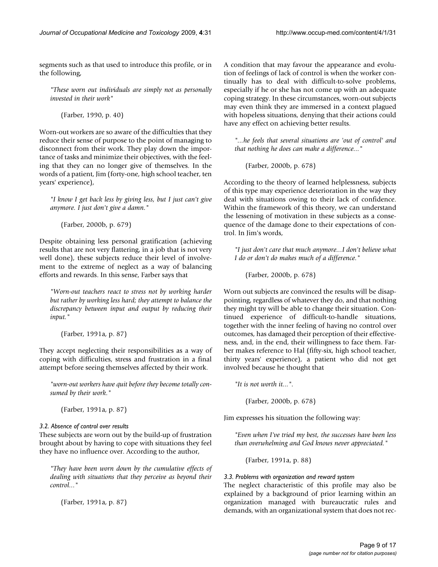segments such as that used to introduce this profile, or in the following,

*"These worn out individuals are simply not as personally invested in their work"*

(Farber, 1990, p. 40)

Worn-out workers are so aware of the difficulties that they reduce their sense of purpose to the point of managing to disconnect from their work. They play down the importance of tasks and minimize their objectives, with the feeling that they can no longer give of themselves. In the words of a patient, Jim (forty-one, high school teacher, ten years' experience),

*"I know I get back less by giving less, but I just can't give anymore. I just don't give a damn."*

(Farber, 2000b, p. 679)

Despite obtaining less personal gratification (achieving results that are not very flattering, in a job that is not very well done), these subjects reduce their level of involvement to the extreme of neglect as a way of balancing efforts and rewards. In this sense, Farber says that

*"Worn-out teachers react to stress not by working harder but rather by working less hard; they attempt to balance the discrepancy between input and output by reducing their input."*

(Farber, 1991a, p. 87)

They accept neglecting their responsibilities as a way of coping with difficulties, stress and frustration in a final attempt before seeing themselves affected by their work.

*"worn-out workers have quit before they become totally consumed by their work."*

(Farber, 1991a, p. 87)

#### *3.2. Absence of control over results*

These subjects are worn out by the build-up of frustration brought about by having to cope with situations they feel they have no influence over. According to the author,

*"They have been worn down by the cumulative effects of dealing with situations that they perceive as beyond their control..."*

(Farber, 1991a, p. 87)

A condition that may favour the appearance and evolution of feelings of lack of control is when the worker continually has to deal with difficult-to-solve problems, especially if he or she has not come up with an adequate coping strategy. In these circumstances, worn-out subjects may even think they are immersed in a context plagued with hopeless situations, denying that their actions could have any effect on achieving better results.

*"...he feels that several situations are 'out of control' and that nothing he does can make a difference..."*

(Farber, 2000b, p. 678)

According to the theory of learned helplessness, subjects of this type may experience deterioration in the way they deal with situations owing to their lack of confidence. Within the framework of this theory, we can understand the lessening of motivation in these subjects as a consequence of the damage done to their expectations of control. In Jim's words,

*"I just don't care that much anymore...I don't believe what I do or don't do makes much of a difference."*

(Farber, 2000b, p. 678)

Worn out subjects are convinced the results will be disappointing, regardless of whatever they do, and that nothing they might try will be able to change their situation. Continued experience of difficult-to-handle situations, together with the inner feeling of having no control over outcomes, has damaged their perception of their effectiveness, and, in the end, their willingness to face them. Farber makes reference to Hal (fifty-six, high school teacher, thirty years' experience), a patient who did not get involved because he thought that

*"It is not worth it..."*.

(Farber, 2000b, p. 678)

Jim expresses his situation the following way:

*"Even when I've tried my best, the successes have been less than overwhelming and God knows never appreciated."*

(Farber, 1991a, p. 88)

*3.3. Problems with organization and reward system*

The neglect characteristic of this profile may also be explained by a background of prior learning within an organization managed with bureaucratic rules and demands, with an organizational system that does not rec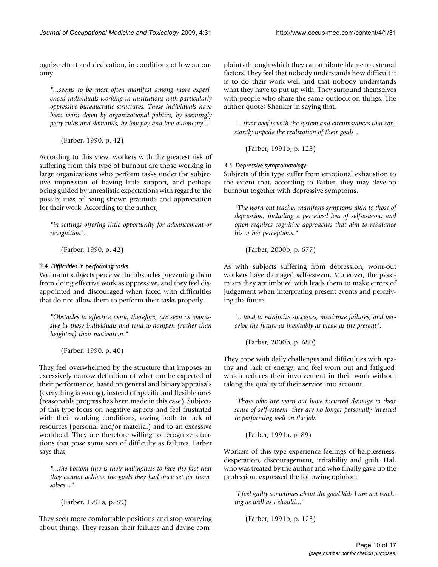ognize effort and dedication, in conditions of low autonomy.

*"...seems to be most often manifest among more experienced individuals working in institutions with particularly oppressive bureaucratic structures. These individuals have been worn down by organizational politics, by seemingly petty rules and demands, by low pay and low autonomy..."*

(Farber, 1990, p. 42)

According to this view, workers with the greatest risk of suffering from this type of burnout are those working in large organizations who perform tasks under the subjective impression of having little support, and perhaps being guided by unrealistic expectations with regard to the possibilities of being shown gratitude and appreciation for their work. According to the author,

*"in settings offering little opportunity for advancement or recognition"*.

(Farber, 1990, p. 42)

#### *3.4. Difficulties in performing tasks*

Worn-out subjects perceive the obstacles preventing them from doing effective work as oppressive, and they feel disappointed and discouraged when faced with difficulties that do not allow them to perform their tasks properly.

*"Obstacles to effective work, therefore, are seen as oppressive by these individuals and tend to dampen (rather than heighten) their motivation."*

(Farber, 1990, p. 40)

They feel overwhelmed by the structure that imposes an excessively narrow definition of what can be expected of their performance, based on general and binary appraisals (everything is wrong), instead of specific and flexible ones (reasonable progress has been made in this case). Subjects of this type focus on negative aspects and feel frustrated with their working conditions, owing both to lack of resources (personal and/or material) and to an excessive workload. They are therefore willing to recognize situations that pose some sort of difficulty as failures. Farber says that,

*"...the bottom line is their willingness to face the fact that they cannot achieve the goals they had once set for themselves..."*

(Farber, 1991a, p. 89)

They seek more comfortable positions and stop worrying about things. They reason their failures and devise complaints through which they can attribute blame to external factors. They feel that nobody understands how difficult it is to do their work well and that nobody understands what they have to put up with. They surround themselves with people who share the same outlook on things. The author quotes Shanker in saying that,

*"...their beef is with the system and circumstances that constantly impede the realization of their goals"*.

(Farber, 1991b, p. 123)

#### *3.5. Depressive symptomatology*

Subjects of this type suffer from emotional exhaustion to the extent that, according to Farber, they may develop burnout together with depressive symptoms.

*"The worn-out teacher manifests symptoms akin to those of depression, including a perceived loss of self-esteem, and often requires cognitive approaches that aim to rebalance his or her perceptions."*

(Farber, 2000b, p. 677)

As with subjects suffering from depression, worn-out workers have damaged self-esteem. Moreover, the pessimism they are imbued with leads them to make errors of judgement when interpreting present events and perceiving the future.

*"...tend to minimize successes, maximize failures, and perceive the future as inevitably as bleak as the present"*.

(Farber, 2000b, p. 680)

They cope with daily challenges and difficulties with apathy and lack of energy, and feel worn out and fatigued, which reduces their involvement in their work without taking the quality of their service into account.

*"Those who are worn out have incurred damage to their sense of self-esteem -they are no longer personally invested in performing well on the job."*

(Farber, 1991a, p. 89)

Workers of this type experience feelings of helplessness, desperation, discouragement, irritability and guilt. Hal, who was treated by the author and who finally gave up the profession, expressed the following opinion:

*"I feel guilty sometimes about the good kids I am not teaching as well as I should..."*

(Farber, 1991b, p. 123)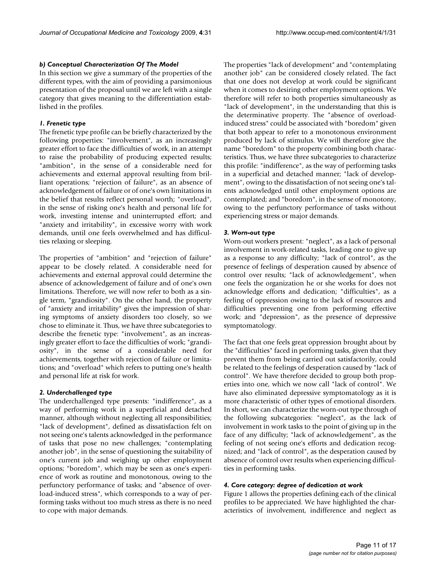# *b) Conceptual Characterization Of The Model*

In this section we give a summary of the properties of the different types, with the aim of providing a parsimonious presentation of the proposal until we are left with a single category that gives meaning to the differentiation established in the profiles.

# *1. Frenetic type*

The frenetic type profile can be briefly characterized by the following properties: "involvement", as an increasingly greater effort to face the difficulties of work, in an attempt to raise the probability of producing expected results; "ambition", in the sense of a considerable need for achievements and external approval resulting from brilliant operations; "rejection of failure", as an absence of acknowledgement of failure or of one's own limitations in the belief that results reflect personal worth; "overload", in the sense of risking one's health and personal life for work, investing intense and uninterrupted effort; and "anxiety and irritability", in excessive worry with work demands, until one feels overwhelmed and has difficulties relaxing or sleeping.

The properties of "ambition" and "rejection of failure" appear to be closely related. A considerable need for achievements and external approval could determine the absence of acknowledgement of failure and of one's own limitations. Therefore, we will now refer to both as a single term, "grandiosity". On the other hand, the property of "anxiety and irritability" gives the impression of sharing symptoms of anxiety disorders too closely, so we chose to eliminate it. Thus, we have three subcategories to describe the frenetic type: "involvement", as an increasingly greater effort to face the difficulties of work; "grandiosity", in the sense of a considerable need for achievements, together with rejection of failure or limitations; and "overload" which refers to putting one's health and personal life at risk for work.

# *2. Underchallenged type*

The underchallenged type presents: "indifference", as a way of performing work in a superficial and detached manner, although without neglecting all responsibilities; "lack of development", defined as dissatisfaction felt on not seeing one's talents acknowledged in the performance of tasks that pose no new challenges; "contemplating another job", in the sense of questioning the suitability of one's current job and weighing up other employment options; "boredom", which may be seen as one's experience of work as routine and monotonous, owing to the perfunctory performance of tasks; and "absence of overload-induced stress", which corresponds to a way of performing tasks without too much stress as there is no need to cope with major demands.

The properties "lack of development" and "contemplating another job" can be considered closely related. The fact that one does not develop at work could be significant when it comes to desiring other employment options. We therefore will refer to both properties simultaneously as "lack of development", in the understanding that this is the determinative property. The "absence of overloadinduced stress" could be associated with "boredom" given that both appear to refer to a monotonous environment produced by lack of stimulus. We will therefore give the name "boredom" to the property combining both characteristics. Thus, we have three subcategories to characterize this profile: "indifference", as the way of performing tasks in a superficial and detached manner; "lack of development", owing to the dissatisfaction of not seeing one's talents acknowledged until other employment options are contemplated; and "boredom", in the sense of monotony, owing to the perfunctory performance of tasks without experiencing stress or major demands.

# *3. Worn-out type*

Worn-out workers present: "neglect", as a lack of personal involvement in work-related tasks, leading one to give up as a response to any difficulty; "lack of control", as the presence of feelings of desperation caused by absence of control over results; "lack of acknowledgement", when one feels the organization he or she works for does not acknowledge efforts and dedication; "difficulties", as a feeling of oppression owing to the lack of resources and difficulties preventing one from performing effective work; and "depression", as the presence of depressive symptomatology.

The fact that one feels great oppression brought about by the "difficulties" faced in performing tasks, given that they prevent them from being carried out satisfactorily, could be related to the feelings of desperation caused by "lack of control". We have therefore decided to group both properties into one, which we now call "lack of control". We have also eliminated depressive symptomatology as it is more characteristic of other types of emotional disorders. In short, we can characterize the worn-out type through of the following subcategories: "neglect", as the lack of involvement in work tasks to the point of giving up in the face of any difficulty; "lack of acknowledgement", as the feeling of not seeing one's efforts and dedication recognized; and "lack of control", as the desperation caused by absence of control over results when experiencing difficulties in performing tasks.

# *4. Core category: degree of dedication at work*

Figure [1](#page-11-0) allows the properties defining each of the clinical profiles to be appreciated. We have highlighted the characteristics of involvement, indifference and neglect as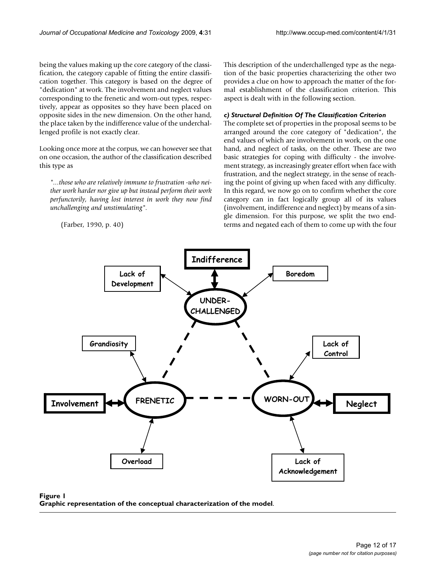being the values making up the core category of the classification, the category capable of fitting the entire classification together. This category is based on the degree of "dedication" at work. The involvement and neglect values corresponding to the frenetic and worn-out types, respectively, appear as opposites so they have been placed on opposite sides in the new dimension. On the other hand, the place taken by the indifference value of the underchallenged profile is not exactly clear.

Looking once more at the corpus, we can however see that on one occasion, the author of the classification described this type as

*"...those who are relatively immune to frustration -who neither work harder nor give up but instead perform their work perfunctorily, having lost interest in work they now find unchallenging and unstimulating"*.

(Farber, 1990, p. 40)

This description of the underchallenged type as the negation of the basic properties characterizing the other two provides a clue on how to approach the matter of the formal establishment of the classification criterion. This aspect is dealt with in the following section.

#### *c) Structural Definition Of The Classification Criterion*

The complete set of properties in the proposal seems to be arranged around the core category of "dedication", the end values of which are involvement in work, on the one hand, and neglect of tasks, on the other. These are two basic strategies for coping with difficulty - the involvement strategy, as increasingly greater effort when face with frustration, and the neglect strategy, in the sense of reaching the point of giving up when faced with any difficulty. In this regard, we now go on to confirm whether the core category can in fact logically group all of its values (involvement, indifference and neglect) by means of a single dimension. For this purpose, we split the two endterms and negated each of them to come up with the four

<span id="page-11-0"></span>

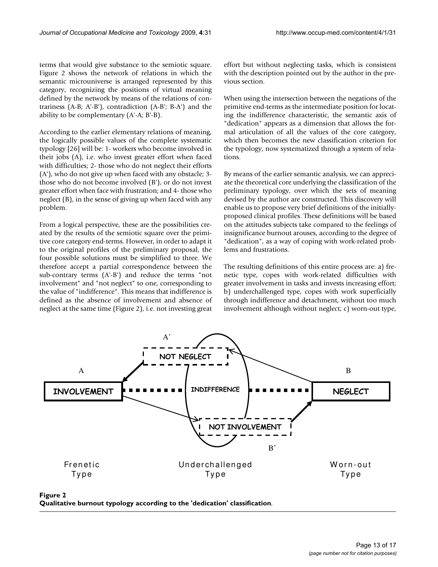terms that would give substance to the semiotic square. Figure [2](#page-12-0) shows the network of relations in which the semantic microuniverse is arranged represented by this category, recognizing the positions of virtual meaning defined by the network by means of the relations of contrariness (A-B; A'-B'), contradiction (A-B'; B-A') and the ability to be complementary (A'-A; B'-B).

According to the earlier elementary relations of meaning, the logically possible values of the complete systematic typology [\[26](#page-15-25)] will be: 1- workers who become involved in their jobs (A), i.e. who invest greater effort when faced with difficulties; 2- those who do not neglect their efforts (A'), who do not give up when faced with any obstacle; 3 those who do not become involved (B'), or do not invest greater effort when face with frustration; and 4- those who neglect (B), in the sense of giving up when faced with any problem.

From a logical perspective, these are the possibilities created by the results of the semiotic square over the primitive core category end-terms. However, in order to adapt it to the original profiles of the preliminary proposal, the four possible solutions must be simplified to three. We therefore accept a partial correspondence between the sub-contrary terms (A'-B') and reduce the terms "not involvement" and "not neglect" to one, corresponding to the value of "indifference". This means that indifference is defined as the absence of involvement and absence of neglect at the same time (Figure [2](#page-12-0)), i.e. not investing great effort but without neglecting tasks, which is consistent with the description pointed out by the author in the previous section.

When using the intersection between the negations of the primitive end-terms as the intermediate position for locating the indifference characteristic, the semantic axis of "dedication" appears as a dimension that allows the formal articulation of all the values of the core category, which then becomes the new classification criterion for the typology, now systematized through a system of relations.

By means of the earlier semantic analysis, we can appreciate the theoretical core underlying the classification of the preliminary typology, over which the sets of meaning devised by the author are constructed. This discovery will enable us to propose very brief definitions of the initiallyproposed clinical profiles. These definitions will be based on the attitudes subjects take compared to the feelings of insignificance burnout arouses, according to the degree of "dedication", as a way of coping with work-related problems and frustrations.

The resulting definitions of this entire process are: a) frenetic type, copes with work-related difficulties with greater involvement in tasks and invests increasing effort; b) underchallenged type, copes with work superficially through indifference and detachment, without too much involvement although without neglect; c) worn-out type,

<span id="page-12-0"></span>

Figure 2 **Qualitative burnout typology according to the 'dedication' classification**.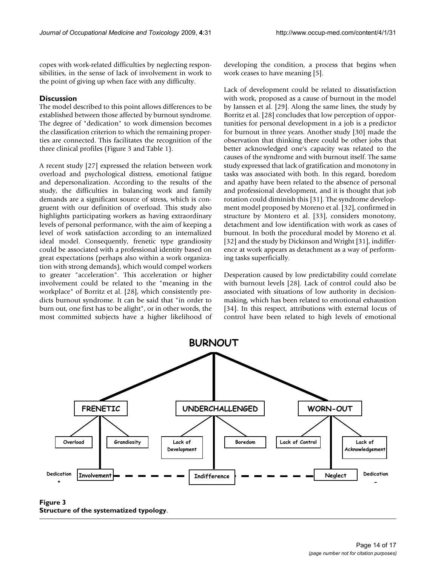copes with work-related difficulties by neglecting responsibilities, in the sense of lack of involvement in work to the point of giving up when face with any difficulty.

# **Discussion**

The model described to this point allows differences to be established between those affected by burnout syndrome. The degree of "dedication" to work dimension becomes the classification criterion to which the remaining properties are connected. This facilitates the recognition of the three clinical profiles (Figure [3](#page-13-0) and Table [1\)](#page-3-0).

A recent study [[27](#page-15-26)] expressed the relation between work overload and psychological distress, emotional fatigue and depersonalization. According to the results of the study, the difficulties in balancing work and family demands are a significant source of stress, which is congruent with our definition of overload. This study also highlights participating workers as having extraordinary levels of personal performance, with the aim of keeping a level of work satisfaction according to an internalized ideal model. Consequently, frenetic type grandiosity could be associated with a professional identity based on great expectations (perhaps also within a work organization with strong demands), which would compel workers to greater "acceleration". This acceleration or higher involvement could be related to the "meaning in the workplace" of Borritz et al. [\[28](#page-15-27)], which consistently predicts burnout syndrome. It can be said that "in order to burn out, one first has to be alight", or in other words, the most committed subjects have a higher likelihood of developing the condition, a process that begins when work ceases to have meaning [\[5\]](#page-15-4).

Lack of development could be related to dissatisfaction with work, proposed as a cause of burnout in the model by Janssen et al. [[29\]](#page-15-28). Along the same lines, the study by Borritz et al. [[28](#page-15-27)] concludes that low perception of opportunities for personal development in a job is a predictor for burnout in three years. Another study [[30](#page-15-29)] made the observation that thinking there could be other jobs that better acknowledged one's capacity was related to the causes of the syndrome and with burnout itself. The same study expressed that lack of gratification and monotony in tasks was associated with both. In this regard, boredom and apathy have been related to the absence of personal and professional development, and it is thought that job rotation could diminish this [[31\]](#page-15-30). The syndrome development model proposed by Moreno et al. [[32\]](#page-15-31), confirmed in structure by Montero et al. [\[33\]](#page-15-32), considers monotony, detachment and low identification with work as cases of burnout. In both the procedural model by Moreno et al. [[32](#page-15-31)] and the study by Dickinson and Wright [\[31\]](#page-15-30), indifference at work appears as detachment as a way of performing tasks superficially.

Desperation caused by low predictability could correlate with burnout levels [\[28\]](#page-15-27). Lack of control could also be associated with situations of low authority in decisionmaking, which has been related to emotional exhaustion [[34](#page-15-33)]. In this respect, attributions with external locus of control have been related to high levels of emotional

<span id="page-13-0"></span>

**Figure 3 Structure of the systematized typology**.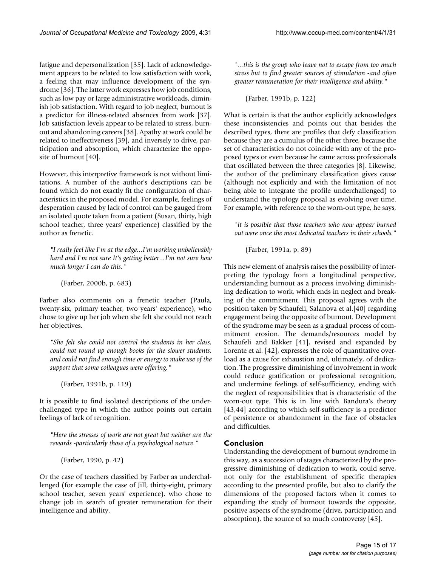fatigue and depersonalization [\[35](#page-15-34)]. Lack of acknowledgement appears to be related to low satisfaction with work, a feeling that may influence development of the syndrome [\[36](#page-15-35)]. The latter work expresses how job conditions, such as low pay or large administrative workloads, diminish job satisfaction. With regard to job neglect, burnout is a predictor for illness-related absences from work [\[37](#page-15-36)]. Job satisfaction levels appear to be related to stress, burnout and abandoning careers [\[38](#page-15-37)]. Apathy at work could be related to ineffectiveness [\[39](#page-15-38)], and inversely to drive, participation and absorption, which characterize the opposite of burnout [[40](#page-16-0)].

However, this interpretive framework is not without limitations. A number of the author's descriptions can be found which do not exactly fit the configuration of characteristics in the proposed model. For example, feelings of desperation caused by lack of control can be gauged from an isolated quote taken from a patient (Susan, thirty, high school teacher, three years' experience) classified by the author as frenetic.

*"I really feel like I'm at the edge...I'm working unbelievably hard and I'm not sure It's getting better...I'm not sure how much longer I can do this."*

(Farber, 2000b, p. 683)

Farber also comments on a frenetic teacher (Paula, twenty-six, primary teacher, two years' experience), who chose to give up her job when she felt she could not reach her objectives.

*"She felt she could not control the students in her class, could not round up enough books for the slower students, and could not find enough time or energy to make use of the support that some colleagues were offering."*

(Farber, 1991b, p. 119)

It is possible to find isolated descriptions of the underchallenged type in which the author points out certain feelings of lack of recognition.

*"Here the stresses of work are not great but neither are the rewards -particularly those of a psychological nature."*

(Farber, 1990, p. 42)

Or the case of teachers classified by Farber as underchallenged (for example the case of Jill, thirty-eight, primary school teacher, seven years' experience), who chose to change job in search of greater remuneration for their intelligence and ability.

*"...this is the group who leave not to escape from too much stress but to find greater sources of stimulation -and often greater remuneration for their intelligence and ability."*

(Farber, 1991b, p. 122)

What is certain is that the author explicitly acknowledges these inconsistencies and points out that besides the described types, there are profiles that defy classification because they are a cumulus of the other three, because the set of characteristics do not coincide with any of the proposed types or even because he came across professionals that oscillated between the three categories [\[8\]](#page-15-7). Likewise, the author of the preliminary classification gives cause (although not explicitly and with the limitation of not being able to integrate the profile underchallenged) to understand the typology proposal as evolving over time. For example, with reference to the worn-out type, he says,

*"it is possible that those teachers who now appear burned out were once the most dedicated teachers in their schools."*

(Farber, 1991a, p. 89)

This new element of analysis raises the possibility of interpreting the typology from a longitudinal perspective, understanding burnout as a process involving diminishing dedication to work, which ends in neglect and breaking of the commitment. This proposal agrees with the position taken by Schaufeli, Salanova et al.[\[40](#page-16-0)] regarding engagement being the opposite of burnout. Development of the syndrome may be seen as a gradual process of commitment erosion. The demands/resources model by Schaufeli and Bakker [\[41\]](#page-16-1), revised and expanded by Lorente et al. [[42](#page-16-2)], expresses the role of quantitative overload as a cause for exhaustion and, ultimately, of dedication. The progressive diminishing of involvement in work could reduce gratification or professional recognition, and undermine feelings of self-sufficiency, ending with the neglect of responsibilities that is characteristic of the worn-out type. This is in line with Bandura's theory [[43](#page-16-3),[44\]](#page-16-4) according to which self-sufficiency is a predictor of persistence or abandonment in the face of obstacles and difficulties.

# **Conclusion**

Understanding the development of burnout syndrome in this way, as a succession of stages characterized by the progressive diminishing of dedication to work, could serve, not only for the establishment of specific therapies according to the presented profile, but also to clarify the dimensions of the proposed factors when it comes to expanding the study of burnout towards the opposite, positive aspects of the syndrome (drive, participation and absorption), the source of so much controversy [[45\]](#page-16-5).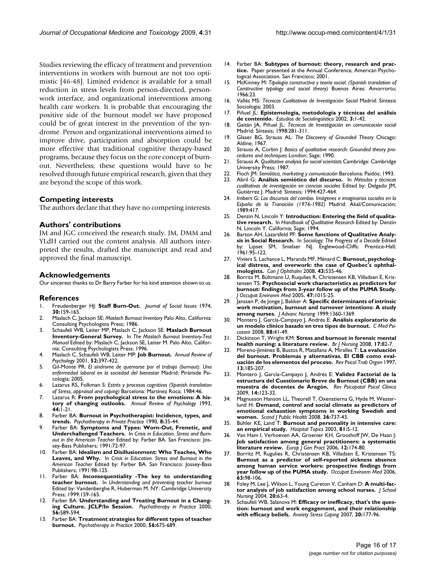Studies reviewing the efficacy of treatment and prevention interventions in workers with burnout are not too optimistic [[46](#page-16-6)[-48](#page-16-7)]. Limited evidence is available for a small reduction in stress levels from person-directed, personwork interface, and organizational interventions among health care workers. It is probable that encouraging the positive side of the burnout model we have proposed could be of great interest in the prevention of the syndrome. Person and organizational interventions aimed to improve drive, participation and absorption could be more effective that traditional cognitive therapy-based programs, because they focus on the core concept of burnout. Nevertheless, these questions would have to be resolved through future empirical research, given that they are beyond the scope of this work.

#### **Competing interests**

The authors declare that they have no competing interests.

#### **Authors' contributions**

JM and JGC conceived the research study. JM, DMM and YLdH carried out the content analysis. All authors interpreted the results, drafted the manuscript and read and approved the final manuscript.

#### **Acknowledgements**

Our sincerest thanks to Dr Barry Farber for his kind attention shown to us.

#### **References**

- <span id="page-15-0"></span>1. Freudenberger HJ: **Staff Burn-Out.** *Journal of Social Issues* 1974, **30:**159-165.
- <span id="page-15-1"></span>2. Maslach C, Jackson SE: *Maslach Burnout Inventory* Palo Alto, California: Consulting Psychologists Press; 1986.
- <span id="page-15-2"></span>3. Schaufeli WB, Leiter MP, Maslach C, Jackson SE: **Maslach Burnout Inventory-General Survey.** In *The Maslach Burnout Inventory-Test Manual* Edited by: Maslach C, Jackson SE, Leiter M. Palo Alto, California: Consulting Psychologists Press; 1996.
- <span id="page-15-3"></span>4. Maslach C, Schaufeli WB, Leiter MP: **[Job Burnout.](http://www.ncbi.nlm.nih.gov/entrez/query.fcgi?cmd=Retrieve&db=PubMed&dopt=Abstract&list_uids=11148311)** *Annual Review of Psychology* 2001, **52:**397-422.
- <span id="page-15-4"></span>5. Gil-Monte PR: *El síndrome de quemarse por el trabajo (burnout). Una enfermedad laboral en la sociedad del bienestar* Madrid: Pirámide Psicología; 2005.
- <span id="page-15-5"></span>6. Lazarus RS, Folkman S: *Estrés y procesos cognitivos (Spanish translation of Stress, appraisal and coping)* Barcelona: Martínez Roca; 1984:46.
- <span id="page-15-6"></span>7. Lazarus R: **[From psychological stress to the emotions: A his](http://www.ncbi.nlm.nih.gov/entrez/query.fcgi?cmd=Retrieve&db=PubMed&dopt=Abstract&list_uids=8434890)[tory of changing outlooks.](http://www.ncbi.nlm.nih.gov/entrez/query.fcgi?cmd=Retrieve&db=PubMed&dopt=Abstract&list_uids=8434890)** *Annual Review of Psychology* 1993, **44:**1-21.
- <span id="page-15-7"></span>8. Farber BA: **Burnout in Psychotherapist: Incidence, types, and trends.** *Psychotherapy in Private Practice* 1990, **8:**35-44.
- <span id="page-15-10"></span>9. Farber BA: **Symptoms and Types: Worn-Out, Frenetic, and Underchallenged Teachers.** In *Crisis in Education. Stress and Burnout in the American Teacher* Edited by: Farber BA. San Francisco: Jossey-Bass Publishers; 1991:72-97.
- <span id="page-15-9"></span>10. Farber BA: **Idealism and Disillusionment: Who Teaches, Who Leaves, and Why.** In *Crisis in Education. Stress and Burnout in the American Teacher* Edited by: Farber BA. San Francisco: Jossey-Bass Publishers; 1991:98-125.
- <span id="page-15-12"></span>11. Farber BA: **Inconsequentiality -The key to understanding teacher burnout.** In *Understanding and preventing teacher burnout* Edited by: Vandenberghe R, Huberman M. NY: Cambridge University Press; 1999:159-165.
- <span id="page-15-11"></span>12. Farber BA: **Understanding and Treating Burnout in a Changing Culture. JCLP/In Session.** *Psychotherapy in Practice* 2000, **56:**589-594.
- <span id="page-15-13"></span>13. Farber BA: **Treatment strategies for different types of teacher burnout.** *Psychotherapy in Practice* 2000, **56:**675-689.
- <span id="page-15-8"></span>14. Farber BA: **Subtypes of burnout: theory, research and practice.** Paper presented at the Annual Conference, American Psychological Association. San Francisco; 2001.
- <span id="page-15-14"></span>15. McKinney M: *Tipología constructiva y teoría social. (Spanish translation of Constructive typology and social theory)* Buenos Aires: Amorrortu; 1966:23.
- <span id="page-15-15"></span>16. Vallés MS: *Técnicas Cualitativas de Investigación Social* Madrid: Síntesis Sociología; 2003.
- <span id="page-15-16"></span>17. Piñuel JL: **Epistemología, metodología y técnicas del análisis de contenido.** *Estudios de Sociolingüística* 2002, **3:**1-42.
- <span id="page-15-17"></span>18. Gaitán JA, Piñuel JL: *Técnicas de Investigación en comunicación social* Madrid: Síntesis; 1998:281-311.
- <span id="page-15-18"></span>19. Glaser BG, Strauss AL: *The Discovery of Grounded Theory* Chicago: Aldine; 1967.
- <span id="page-15-19"></span>20. Strauss A, Corbin J: Basics of qualitative research: Grounded theory pro*cedures and techniques* London: Sage; 1990.
- <span id="page-15-20"></span>21. Strauss A: *Qualitative analysis for social scientists* Cambridge: Cambridge University Press; 1987.
- <span id="page-15-21"></span>22. Floch JM: *Semiótica, marketing y comunicación* Barcelona: Paidós; 1993.
- <span id="page-15-22"></span>23. Abril G: **Análisis semiótico del discurso.** In *Métodos y técnicas cualitativas de investigación en ciencias sociales* Edited by: Delgado JM, Gutiérrez J. Madrid: Síntesis; 1994:427-464.
- <span id="page-15-23"></span>24. Imbert G: *Los discursos del cambio. Imágenes e imaginarios sociales en la España de la Transición (1976-1982)* Madrid: Akal/Comunicación; 1989:417.
- <span id="page-15-24"></span>25. Denzin N, Lincoln Y: **Introduction: Entering the field of qualitative research.** In *Handbook of Qualitative Research* Edited by: Denzin N, Lincoln Y. California: Sage; 1994.
- <span id="page-15-25"></span>26. Barton AH, Lazarsfeld PF: **Some functions of Qualitative Analysis in Social Research.** In *Sociology: The Progress of a Decade* Edited by: Lipset SM, Smelser NJ. Englewood-Cliffs: Prentice-Hall; 1961:95-122.
- <span id="page-15-26"></span>27. Viviers S, Lachance L, Maranda MF, Ménard C: **Burnout, psychological distress, and overwork: the case of Quebec's ophthalmologists.** *Can J Ophthalm* 2008, **43:**535-46.
- <span id="page-15-27"></span>28. Borritz M, Bültmann U, Ruqulies R, Christensen KB, Villadsen E, Kristensen TS: **Psychosocial work characteristics as predictors for burnout: findings from 3-year follow up of the PUMA Study.** *J Occupat Environm Med* 2005, **47:**1015-25.
- <span id="page-15-28"></span>29. Janssen P, de Jonge J, Bakker A: **Specific determinants of intrinsic work motivation, burnout and turnover intentions: A study among nurses.** *J Advanc Nursing* 1999:1360-1369.
- <span id="page-15-29"></span>30. Montero J, García-Campayo J, Andrés E: **Análisis exploratorio de un modelo clínico basado en tres tipos de burnout.** *C Med Psicosom* 2008, **88:**41-49.
- <span id="page-15-30"></span>31. Dickinson T, Wright KM: **Stress and burnout in forensic mental health nursing: a literature review.** *Br J Nursing* 2008, **17:**82-7.
- <span id="page-15-31"></span>32. Moreno-Jiménez B, Bustos R, Matallana A, Miralles T: **La evaluación del burnout. Problemas y alternativas. El CBB como evaluación de los elementos del proceso.** *Rev Psicol Trab Organ* 1997, **13:**185-207.
- <span id="page-15-32"></span>33. Montero J, García-Campayo J, Andrés E: **Validez Factorial de la estructura del Cuestionario Breve de Burnout (CBB) en una muestra de docentes de Aragón.** *Rev Psicopatol Psicol Clínica* 2009, **14:**123-32.
- <span id="page-15-33"></span>34. Magnusson Hanson LL, Theorell T, Oxenstierna G, Hyde M, Westerlund H: **[Demand, control and social climate as predictors of](http://www.ncbi.nlm.nih.gov/entrez/query.fcgi?cmd=Retrieve&db=PubMed&dopt=Abstract&list_uids=18684778) [emotional exhaustion symptoms in working Swedish and](http://www.ncbi.nlm.nih.gov/entrez/query.fcgi?cmd=Retrieve&db=PubMed&dopt=Abstract&list_uids=18684778) [women.](http://www.ncbi.nlm.nih.gov/entrez/query.fcgi?cmd=Retrieve&db=PubMed&dopt=Abstract&list_uids=18684778)** *Scand J Public Health* 2008, **36:**737-43.
- <span id="page-15-34"></span>35. Bühler KE, Land T: **Burnout and personality in intensive care: an empirical study.** *Hospital Topics* 2003, **81:**5-12.
- <span id="page-15-35"></span>36. Van Ham I, Verhoeven AA, Groenier KH, Groothoff JW, De Haan J: **Job satisfaction among general practitioners: a systematic literature review.** *Europ J Gen Pract* 2006, **12:**174-80.
- <span id="page-15-36"></span>37. Borritz M, Rugulies R, Christensen KB, Villadsen E, Kristensen TS: **Burnout as a predictor of self-reported sickness absence among human service workers: prospective findings from year follow up of the PUMA study.** *Occupat Environm Med* 2006, **63:**98-106.
- <span id="page-15-37"></span>38. Foley M, Lee J, Wilson L, Young Cureton V, Canham D: **A multi-factor analysis of job satisfaction among school nurses.** *J School Nursing* 2004, **20:**63-4.
- <span id="page-15-38"></span>39. Schaufeli WB, Salanova M: **[Efficacy or inefficacy, that's the ques](http://www.ncbi.nlm.nih.gov/entrez/query.fcgi?cmd=Retrieve&db=PubMed&dopt=Abstract&list_uids=17999223)[tion: burnout and work engagement, and their relationship](http://www.ncbi.nlm.nih.gov/entrez/query.fcgi?cmd=Retrieve&db=PubMed&dopt=Abstract&list_uids=17999223) [with efficacy beliefs.](http://www.ncbi.nlm.nih.gov/entrez/query.fcgi?cmd=Retrieve&db=PubMed&dopt=Abstract&list_uids=17999223)** *Anxiety Stress Coping* 2007, **20:**177-96.